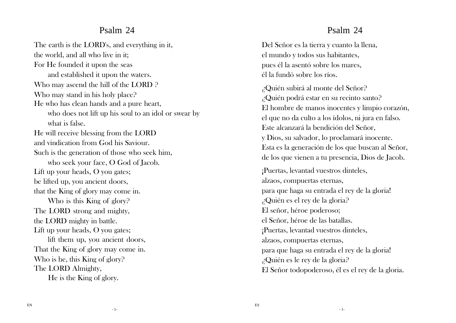#### Psalm 24

The earth is the LORD's, and everything in it, the world, and all who live in it; For He founded it upon the seas and established it upon the waters. Who may ascend the hill of the LORD ? Who may stand in his holy place? He who has clean hands and a pure heart, who does not lift up his soul to an idol or swear by what is false. He will receive blessing from the LORD and vindication from God his Saviour. Such is the generation of those who seek him, who seek your face, O God of Jacob. Lift up your heads, O you gates; be lifted up, you ancient doors, that the King of glory may come in. Who is this King of glory? The LORD strong and mighty, the LORD mighty in battle. Lift up your heads, O you gates; lift them up, you ancient doors, That the King of glory may come in. Who is he, this King of glory? The LORD Almighty, He is the King of glory.

### Psalm 24

Del Señor es la tierra y cuanto la llena, el mundo y todos sus habitantes, pues él la asentó sobre los mares, él la fundó sobre los ríos.

¿Quién subirá al monte del Señor? ¿Quién podrá estar en su recinto santo? El hombre de manos inocentes y limpio corazón, el que no da culto a los ídolos, ni jura en falso. Este alcanzará la bendición del Señor, y Dios, su salvador, lo proclamará inocente. Esta es la generación de los que buscan al Señor, de los que vienen a tu presencia, Dios de Jacob.

¡Puertas, levantad vuestros dinteles, alzaos, compuertas eternas, para que haga su entrada el rey de la gloria! ¿Quién es el rey de la gloria? El señor, héroe poderoso; el Señor, héroe de las batallas. ¡Puertas, levantad vuestros dinteles, alzaos, compuertas eternas, para que haga su entrada el rey de la gloria! ¿Quién es le rey de la gloria? El Señor todopoderoso, él es el rey de la gloria.

- 1-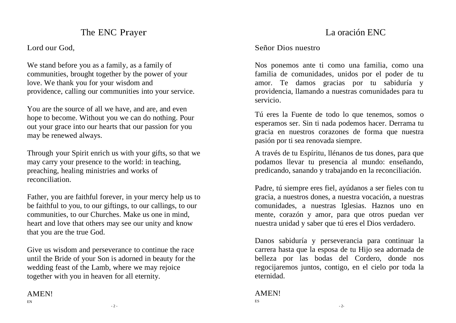## The ENC Prayer

Lord our God,

We stand before you as a family, as a family of communities, brought together by the power of your love. We thank you for your wisdom and providence, calling our communities into your service.

You are the source of all we have, and are, and even hope to become. Without you we can do nothing. Pour out your grace into our hearts that our passion for you may be renewed always.

Through your Spirit enrich us with your gifts, so that we may carry your presence to the world: in teaching, preaching, healing ministries and works of reconciliation.

Father, you are faithful forever, in your mercy help us to be faithful to you, to our giftings, to our callings, to our communities, to our Churches. Make us one in mind, heart and love that others may see our unity and know that you are the true God.

Give us wisdom and perseverance to continue the race until the Bride of your Son is adorned in beauty for the wedding feast of the Lamb, where we may rejoice together with you in heaven for all eternity.

#### AMEN! EN

## La oración ENC

#### Señor Dios nuestro

Nos ponemos ante ti como una familia, como una familia de comunidades, unidos por el poder de tu amor. Te damos gracias por tu sabiduría y providencia, llamando a nuestras comunidades para tu servicio.

Tú eres la Fuente de todo lo que tenemos, somos o esperamos ser. Sin ti nada podemos hacer. Derrama tu gracia en nuestros corazones de forma que nuestra pasión por ti sea renovada siempre.

A través de tu Espíritu, llénanos de tus dones, para que podamos llevar tu presencia al mundo: enseñando, predicando, sanando y trabajando en la reconciliación.

Padre, tú siempre eres fiel, ayúdanos a ser fieles con tu gracia, a nuestros dones, a nuestra vocación, a nuestras comunidades, a nuestras Iglesias. Haznos uno en mente, corazón y amor, para que otros puedan ver nuestra unidad y saber que tú eres el Dios verdadero.

Danos sabiduría y perseverancia para continuar la carrera hasta que la esposa de tu Hijo sea adornada de belleza por las bodas del Cordero, donde nos regocijaremos juntos, contigo, en el cielo por toda la eternidad.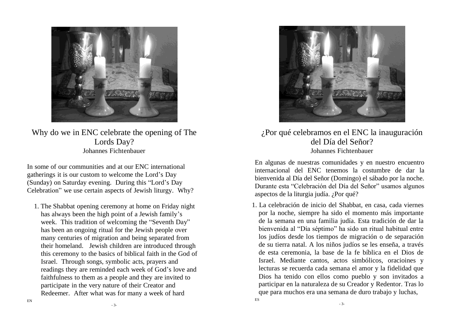

Why do we in ENC celebrate the opening of The Lords Day? Johannes Fichtenbauer

In some of our communities and at our ENC international gatherings it is our custom to welcome the Lord's Day (Sunday) on Saturday evening. During this "Lord's Day Celebration" we use certain aspects of Jewish liturgy. Why?

1. The Shabbat opening ceremony at home on Friday night has always been the high point of a Jewish family's week. This tradition of welcoming the "Seventh Day" has been an ongoing ritual for the Jewish people over many centuries of migration and being separated from their homeland. Jewish children are introduced through this ceremony to the basics of biblical faith in the God of Israel. Through songs, symbolic acts, prayers and readings they are reminded each week of God's love and faithfulness to them as a people and they are invited to participate in the very nature of their Creator and Redeemer. After what was for many a week of hard



#### ¿Por qué celebramos en el ENC la inauguración del Día del Señor? Johannes Fichtenbauer

En algunas de nuestras comunidades y en nuestro encuentro internacional del ENC tenemos la costumbre de dar la bienvenida al Día del Señor (Domingo) el sábado por la noche. Durante esta "Celebración del Día del Señor" usamos algunos aspectos de la liturgia judía. ¿Por qué?

1. La celebración de inicio del Shabbat, en casa, cada viernes por la noche, siempre ha sido el momento más importante de la semana en una familia judía. Esta tradición de dar la bienvenida al "Día séptimo" ha sido un ritual habitual entre los judíos desde los tiempos de migración o de separación de su tierra natal. A los niños judíos se les enseña, a través de esta ceremonia, la base de la fe bíblica en el Dios de Israel. Mediante cantos, actos simbólicos, oracioines y lecturas se recuerda cada semana el amor y la fidelidad que Dios ha tenido con ellos como pueblo y son invitados a participar en la naturaleza de su Creador y Redentor. Tras lo que para muchos era una semana de duro trabajo y luchas, ES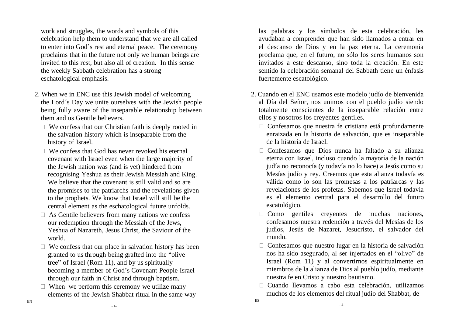work and struggles, the words and symbols of this celebration help them to understand that we are all called to enter into God's rest and eternal peace. The ceremony proclaims that in the future not only we human beings are invited to this rest, but also all of creation. In this sense the weekly Sabbath celebration has a strong eschatological emphasis.

- 2. When we in ENC use this Jewish model of welcoming the Lord´s Day we unite ourselves with the Jewish people being fully aware of the inseparable relationship between them and us Gentile believers.
	- $\Box$  We confess that our Christian faith is deeply rooted in the salvation history which is inseparable from the history of Israel.
	- $\Box$  We confess that God has never revoked his eternal covenant with Israel even when the large majority of the Jewish nation was (and is yet) hindered from recognising Yeshua as their Jewish Messiah and King. We believe that the covenant is still valid and so are the promises to the patriarchs and the revelations given to the prophets. We know that Israel will still be the central element as the eschatological future unfolds.
	- $\Box$  As Gentile believers from many nations we confess our redemption through the Messiah of the Jews, Yeshua of Nazareth, Jesus Christ, the Saviour of the world.
	- $\Box$  We confess that our place in salvation history has been granted to us through being grafted into the "olive tree" of Israel (Rom 11), and by us spiritually becoming a member of God's Covenant People Israel through our faith in Christ and through baptism.
	- $\Box$  When we perform this ceremony we utilize many elements of the Jewish Shabbat ritual in the same way

las palabras y los símbolos de esta celebración, les ayudaban a comprender que han sido llamados a entrar en el descanso de Dios y en la paz eterna. La ceremonia proclama que, en el futuro, no sólo los seres humanos son invitados a este descanso, sino toda la creación. En este sentido la celebración semanal del Sabbath tiene un énfasis fuertemente escatológico.

- 2. Cuando en el ENC usamos este modelo judío de bienvenida al Día del Señor, nos unimos con el pueblo judío siendo totalmente conscientes de la inseparable relación entre ellos y nosotros los creyentes gentiles.
	- $\Box$  Confesamos que nuestra fe cristiana está profundamente enraizada en la historia de salvación, que es inseparable de la historia de Israel.
	- $\Box$  Confesamos que Dios nunca ha faltado a su alianza eterna con Israel, incluso cuando la mayoría de la nación judía no reconocía (y todavía no lo hace) a Jesús como su Mesías judío y rey. Creemos que esta alianza todavía es válida como lo son las promesas a los patriarcas y las revelaciones de los profetas. Sabemos que Israel todavía es el elemento central para el desarrollo del futuro escatológico.
	- $\Box$  Como gentiles creventes de muchas naciones, confesamos nuestra redención a través del Mesías de los judíos, Jesús de Nazaret, Jesucristo, el salvador del mundo.
	- $\Box$  Confesamos que nuestro lugar en la historia de salvación nos ha sido asegurado, al ser injertados en el "olivo" de Israel (Rom 11) y al convertirnos espiritualmente en miembros de la alianza de Dios al pueblo judío, mediante nuestra fe en Cristo y nuestro bautismo.
	- $\Box$  Cuando llevamos a cabo esta celebración, utilizamos muchos de los elementos del ritual judío del Shabbat, de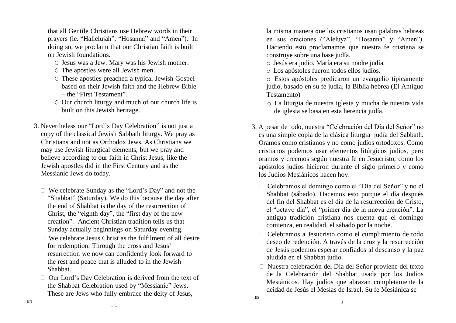that all Gentile Christians use Hebrew words in their prayers (ie. "Hallelujah", "Hosanna" and "Amen"). In doing so, we proclaim that our Christian faith is built on Jewish foundations.

- O Jesus was a Jew. Mary was his Jewish mother.
- O The apostles were all Jewish men.
- O These apostles preached a typical Jewish Gospel based on their Jewish faith and the Hebrew Bible – the "First Testament".
- O Our church liturgy and much of our church life is built on this Jewish heritage.
- 3. Nevertheless our "Lord's Day Celebration" is not just a copy of the classical Jewish Sabbath liturgy. We pray as Christians and not as Orthodox Jews. As Christians we may use Jewish liturgical elements, but we pray and believe according to our faith in Christ Jesus, like the Jewish apostles did in the First Century and as the Messianic Jews do today.
	- We celebrate Sunday as the "Lord's Day" and not the "Shabbat" (Saturday). We do this because the day after the end of Shabbat is the day of the resurrection of Christ, the "eighth day", the "first day of the new creation". Ancient Christian tradition tells us that Sunday actually beginnings on Saturday evening.
	- $\Box$  We celebrate Jesus Christ as the fulfilment of all desire for redemption. Through the cross and Jesus' resurrection we now can confidently look forward to the rest and peace that is alluded to in the Jewish Shabbat.
	- $\Box$  Our Lord's Day Celebration is derived from the text of the Shabbat Celebration used by "Messianic" Jews. These are Jews who fully embrace the deity of Jesus,

la misma manera que los cristianos usan palabras hebreas en sus oraciones ("Aleluya", "Hosanna" y "Amen"). Haciendo esto proclamamos que nuestra fe cristiana se construye sobre una base judía.

o Jesús era judío. María era su madre judía.

- o Los apóstoles fueron todos ellos judíos.
- o Estos apóstoles predicaron un evangelio típicamente judío, basado en su fe judía, la Biblia hebrea (El Antiguo Testamento)
- o La liturgia de nuestra iglesia y mucha de nuestra vida de iglesia se basa en esta herencia judía.
- 3. A pesar de todo, nuestra "Celebración del Día del Señor" no es una simple copia de la clásica liturgia judía del Sabbath. Oramos como cristianos y no como judíos ortodoxos. Como cristianos podemos usar elementos litúrgicos judíos, pero oramos y creemos según nuestra fe en Jesucristo, como los apóstolos judíos hicieron durante el siglo primero y como los Judíos Mesiánicos hacen hoy.
	- Celebramos el domingo como el "Día del Señor" y no el Shabbat (sábado). Hacemos esto porque el día después del fin del Shabbat es el día de la resurrección de Cristo, el "octavo día", el "primer día de la nueva creación". La antigua tradición cristiana nos cuenta que el domingo comienza, en realidad, el sábado por la noche.
	- Celebramos a Jesucristo como el cumplimiento de todo deseo de redención. A través de la cruz y la resurrección de Jesús podemos esperar confiados al descanso y la paz aludida en el Shabbat judío.
	- Nuestra celebración del Día del Señor proviene del texto de la Celebración del Shabbat usada por los Judíos Mesiánicos. Hay judíos que abrazan completamente la deidad de Jesús el Mesías de Israel. Su fe Mesiánica se

EN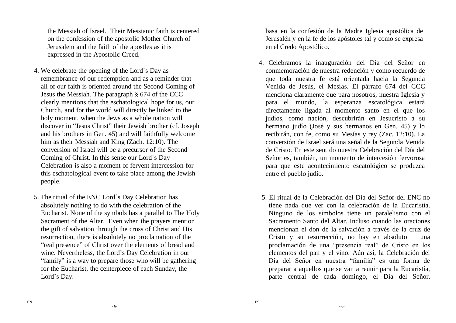the Messiah of Israel. Their Messianic faith is centered on the confession of the apostolic Mother Church of Jerusalem and the faith of the apostles as it is expressed in the Apostolic Creed.

- 4. We celebrate the opening of the Lord´s Day as remembrance of our redemption and as a reminder that all of our faith is oriented around the Second Coming of Jesus the Messiah. The paragraph § 674 of the CCC clearly mentions that the eschatological hope for us, our Church, and for the world will directly be linked to the holy moment, when the Jews as a whole nation will discover in "Jesus Christ" their Jewish brother (cf. Joseph and his brothers in Gen. 45) and will faithfully welcome him as their Messiah and King (Zach. 12:10). The conversion of Israel will be a precursor of the Second Coming of Christ. In this sense our Lord´s Day Celebration is also a moment of fervent intercession for this eschatological event to take place among the Jewish people.
- 5. The ritual of the ENC Lord´s Day Celebration has absolutely nothing to do with the celebration of the Eucharist. None of the symbols has a parallel to The Holy Sacrament of the Altar. Even when the prayers mention the gift of salvation through the cross of Christ and His resurrection, there is absolutely no proclamation of the "real presence" of Christ over the elements of bread and wine. Nevertheless, the Lord's Day Celebration in our "family" is a way to prepare those who will be gathering for the Eucharist, the centerpiece of each Sunday, the Lord's Day.

basa en la confesión de la Madre Iglesia apostólica de Jerusalén y en la fe de los apóstoles tal y como se expresa en el Credo Apostólico.

- 4. Celebramos la inauguración del Día del Señor en conmemoración de nuestra redención y como recuerdo de que toda nuestra fe está orientada hacia la Segunda Venida de Jesús, el Mesías. El párrafo 674 del CCC menciona claramente que para nosotros, nuestra Iglesia y para el mundo, la esperanza escatológica estará directamente ligada al momento santo en el que los judíos, como nación, descubrirán en Jesucristo a su hermano judío (José y sus hermanos en Gen. 45) y lo recibirán, con fe, como su Mesías y rey (Zac. 12:10). La conversión de Israel será una señal de la Segunda Venida de Cristo. En este sentido nuestra Celebración del Día del Señor es, también, un momento de intercesión fervorosa para que este acontecimiento escatológico se produzca entre el pueblo judío.
- 5. El ritual de la Celebración del Día del Señor del ENC no tiene nada que ver con la celebración de la Eucaristía. Ninguno de los símbolos tiene un paralelismo con el Sacramento Santo del Altar. Incluso cuando las oraciones mencionan el don de la salvación a través de la cruz de Cristo y su resurrección, no hay en absoluto una proclamación de una "presencia real" de Cristo en los elementos del pan y el vino. Aún así, la Celebración del Día del Señor en nuestra "familia" es una forma de preparar a aquellos que se van a reunir para la Eucaristía, parte central de cada domingo, el Día del Señor.

- 6-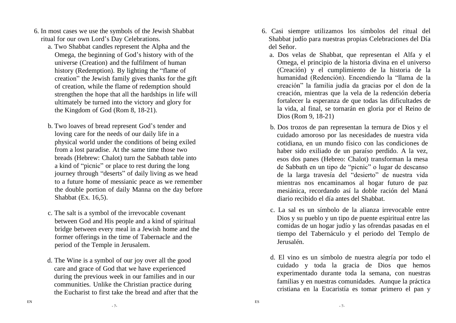- 6. In most cases we use the symbols of the Jewish Shabbat ritual for our own Lord's Day Celebrations.
	- a. Two Shabbat candles represent the Alpha and the Omega, the beginning of God's history with of the universe (Creation) and the fulfilment of human history (Redemption). By lighting the "flame of creation" the Jewish family gives thanks for the gift of creation, while the flame of redemption should strengthen the hope that all the hardships in life will ultimately be turned into the victory and glory for the Kingdom of God (Rom 8, 18-21).
	- b. Two loaves of bread represent God's tender and loving care for the needs of our daily life in a physical world under the conditions of being exiled from a lost paradise. At the same time those two breads (Hebrew: Chalot) turn the Sabbath table into a kind of "picnic" or place to rest during the long journey through "deserts" of daily living as we head to a future home of messianic peace as we remember the double portion of daily Manna on the day before Shabbat (Ex. 16.5).
	- c. The salt is a symbol of the irrevocable covenant between God and His people and a kind of spiritual bridge between every meal in a Jewish home and the former offerings in the time of Tabernacle and the period of the Temple in Jerusalem.
	- d. The Wine is a symbol of our joy over all the good care and grace of God that we have experienced during the previous week in our families and in our communities. Unlike the Christian practice during the Eucharist to first take the bread and after that the
- 6. Casi siempre utilizamos los símbolos del ritual del Shabbat judío para nuestras propias Celebraciones del Día del Señor.
	- a. Dos velas de Shabbat, que representan el Alfa y el Omega, el principio de la historia divina en el universo (Creación) y el cumplimiento de la historia de la humanidad (Redención). Encendiendo la "llama de la creación" la familia judía da gracias por el don de la creación, mientras que la vela de la redención debería fortalecer la esperanza de que todas las dificultades de la vida, al final, se tornarán en gloria por el Reino de Dios (Rom 9, 18-21)
	- b. Dos trozos de pan representan la ternura de Dios y el cuidado amoroso por las necesidades de nuestra vida cotidiana, en un mundo físico con las condiciones de haber sido exiliado de un paraíso perdido. A la vez, esos dos panes (Hebreo: Chalot) transforman la mesa de Sabbath en un tipo de "picnic" o lugar de descanso de la larga travesía del "desierto" de nuestra vida mientras nos encaminamos al hogar futuro de paz mesiánica, recordando así la doble ración del Maná diario recibido el día antes del Shabbat.
	- c. La sal es un símbolo de la alianza irrevocable entre Dios y su pueblo y un tipo de puente espiritual entre las comidas de un hogar judío y las ofrendas pasadas en el tiempo del Tabernáculo y el periodo del Templo de Jerusalén.
	- d. El vino es un símbolo de nuestra alegría por todo el cuidado y toda la gracia de Dios que hemos experimentado durante toda la semana, con nuestras familias y en nuestras comunidades. Aunque la práctica cristiana en la Eucaristía es tomar primero el pan y

- 7-

- 7-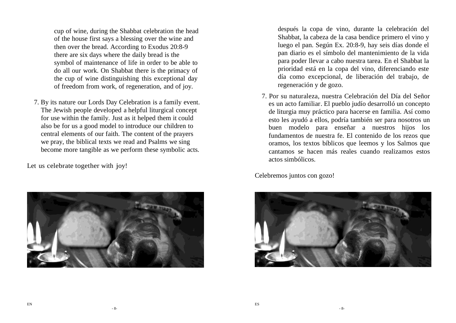cup of wine, during the Shabbat celebration the head of the house first says a blessing over the wine and then over the bread. According to Exodus 20:8-9 there are six days where the daily bread is the symbol of maintenance of life in order to be able to do all our work. On Shabbat there is the primacy of the cup of wine distinguishing this exceptional day of freedom from work, of regeneration, and of joy.

7. By its nature our Lords Day Celebration is a family event. The Jewish people developed a helpful liturgical concept for use within the family. Just as it helped them it could also be for us a good model to introduce our children to central elements of our faith. The content of the prayers we pray, the biblical texts we read and Psalms we sing become more tangible as we perform these symbolic acts.

Let us celebrate together with joy!



después la copa de vino, durante la celebración del Shabbat, la cabeza de la casa bendice primero el vino y luego el pan. Según Ex. 20:8-9, hay seis días donde el pan diario es el símbolo del mantenimiento de la vida para poder llevar a cabo nuestra tarea. En el Shabbat la prioridad está en la copa del vino, diferenciando este día como excepcional, de liberación del trabajo, de regeneración y de gozo.

7. Por su naturaleza, nuestra Celebración del Día del Señor es un acto familiar. El pueblo judío desarrolló un concepto de liturgia muy práctico para hacerse en familia. Así como esto les ayudó a ellos, podría también ser para nosotros un buen modelo para enseñar a nuestros hijos los fundamentos de nuestra fe. El contenido de los rezos que oramos, los textos bíblicos que leemos y los Salmos que cantamos se hacen más reales cuando realizamos estos actos simbólicos.

Celebremos juntos con gozo!

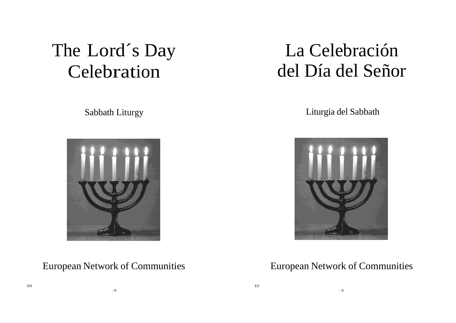# The Lord´s Day Celebration

Sabbath Liturgy



- 9-

# La Celebración del Día del Señor

Liturgia del Sabbath



## European Network of Communities European Network of Communities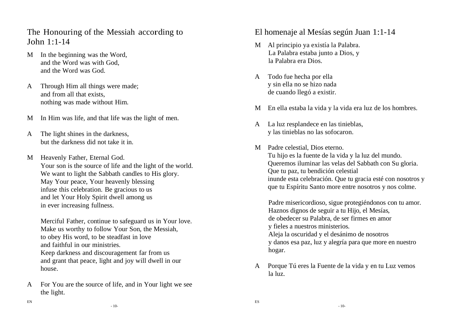The Honouring of the Messiah according to  $John$  1:1-14

- M In the beginning was the Word, and the Word was with God, and the Word was God.
- A Through Him all things were made; and from all that exists, nothing was made without Him.
- M In Him was life, and that life was the light of men.
- A The light shines in the darkness, but the darkness did not take it in.
- M Heavenly Father, Eternal God. Your son is the source of life and the light of the world. We want to light the Sabbath candles to His glory. May Your peace, Your heavenly blessing infuse this celebration. Be gracious to us and let Your Holy Spirit dwell among us in ever increasing fullness.

Merciful Father, continue to safeguard us in Your love. Make us worthy to follow Your Son, the Messiah, to obey His word, to be steadfast in love and faithful in our ministries.

Keep darkness and discouragement far from us and grant that peace, light and joy will dwell in our house.

A For You are the source of life, and in Your light we see the light.

El homenaje al Mesías según Juan 1:1-14

- M Al principio ya existía la Palabra. La Palabra estaba junto a Dios, y la Palabra era Dios.
- A Todo fue hecha por ella y sin ella no se hizo nada de cuando llegó a existir.
- M En ella estaba la vida y la vida era luz de los hombres.
- A La luz resplandece en las tinieblas, y las tinieblas no las sofocaron.
- M Padre celestial, Dios eterno. Tu hijo es la fuente de la vida y la luz del mundo. Queremos iluminar las velas del Sabbath con Su gloria. Que tu paz, tu bendición celestial inunde esta celebración. Que tu gracia esté con nosotros y que tu Espíritu Santo more entre nosotros y nos colme.

Padre misericordioso, sigue protegiéndonos con tu amor. Haznos dignos de seguir a tu Hijo, el Mesías, de obedecer su Palabra, de ser firmes en amor y fieles a nuestros ministerios. Aleja la oscuridad y el desánimo de nosotros y danos esa paz, luz y alegría para que more en nuestro hogar.

A Porque Tú eres la Fuente de la vida y en tu Luz vemos la luz.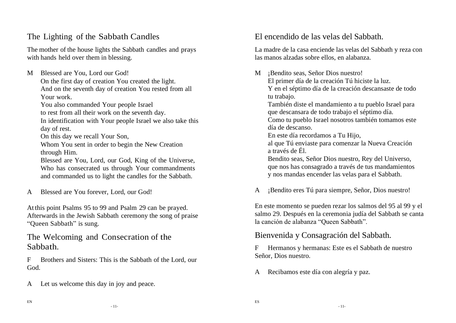## The Lighting of the Sabbath Candles

The mother of the house lights the Sabbath candles and prays with hands held over them in blessing.

M Blessed are You, Lord our God! On the first day of creation You created the light. And on the seventh day of creation You rested from all Your work.

You also commanded Your people Israel

to rest from all their work on the seventh day.

In identification with Your people Israel we also take this day of rest.

On this day we recall Your Son,

Whom You sent in order to begin the New Creation through Him.

Blessed are You, Lord, our God, King of the Universe, Who has consecrated us through Your commandments and commanded us to light the candles for the Sabbath.

A Blessed are You forever, Lord, our God!

At this point Psalms 95 to 99 and Psalm 29 can be prayed. Afterwards in the Jewish Sabbath ceremony the song of praise "Queen Sabbath" is sung.

#### The Welcoming and Consecration of the Sabbath.

F Brothers and Sisters: This is the Sabbath of the Lord, our God.

A Let us welcome this day in joy and peace.

#### El encendido de las velas del Sabbath.

La madre de la casa enciende las velas del Sabbath y reza con las manos alzadas sobre ellos, en alabanza.

M **¡Bendito seas, Señor Dios nuestro!** El primer día de la creación Tú hiciste la luz. Y en el séptimo día de la creación descansaste de todo tu trabajo. También diste el mandamiento a tu pueblo Israel para que descansara de todo trabajo el séptimo día.

Como tu pueblo Israel nosotros también tomamos este día de descanso.

En este día recordamos a Tu Hijo,

al que Tú enviaste para comenzar la Nueva Creación a través de Él.

Bendito seas, Señor Dios nuestro, Rey del Universo, que nos has consagrado a través de tus mandamientos y nos mandas encender las velas para el Sabbath.

A ¡Bendito eres Tú para siempre, Señor, Dios nuestro!

En este momento se pueden rezar los salmos del 95 al 99 y el salmo 29. Después en la ceremonia judía del Sabbath se canta la canción de alabanza "Queen Sabbath".

Bienvenida y Consagración del Sabbath.

F Hermanos y hermanas: Este es el Sabbath de nuestro Señor, Dios nuestro.

A Recibamos este día con alegría y paz.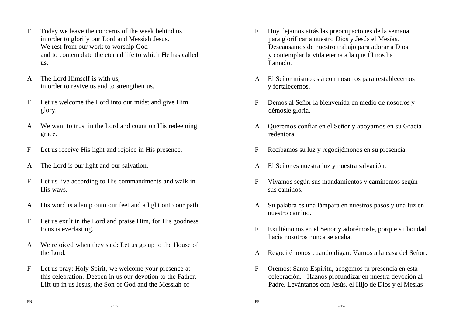- F Today we leave the concerns of the week behind us in order to glorify our Lord and Messiah Jesus. We rest from our work to worship God and to contemplate the eternal life to which He has called us.
- A The Lord Himself is with us, in order to revive us and to strengthen us.
- F Let us welcome the Lord into our midst and give Him glory.
- A We want to trust in the Lord and count on His redeeming grace.
- F Let us receive His light and rejoice in His presence.
- A The Lord is our light and our salvation.
- F Let us live according to His commandments and walk in His ways.
- A His word is a lamp onto our feet and a light onto our path.
- F Let us exult in the Lord and praise Him, for His goodness to us is everlasting.
- A We rejoiced when they said: Let us go up to the House of the Lord.
- F Let us pray: Holy Spirit, we welcome your presence at this celebration. Deepen in us our devotion to the Father. Lift up in us Jesus, the Son of God and the Messiah of
- F Hoy dejamos atrás las preocupaciones de la semana para glorificar a nuestro Dios y Jesús el Mesías. Descansamos de nuestro trabajo para adorar a Dios y contemplar la vida eterna a la que Él nos ha llamado.
- A El Señor mismo está con nosotros para restablecernos y fortalecernos.
- F Demos al Señor la bienvenida en medio de nosotros y démosle gloria.
- A Queremos confiar en el Señor y apoyarnos en su Gracia redentora.
- F Recibamos su luz y regocijémonos en su presencia.
- A El Señor es nuestra luz y nuestra salvación.
- F Vivamos según sus mandamientos y caminemos según sus caminos.
- A Su palabra es una lámpara en nuestros pasos y una luz en nuestro camino.
- F Exultémonos en el Señor y adorémosle, porque su bondad hacia nosotros nunca se acaba.
- A Regocijémonos cuando digan: Vamos a la casa del Señor.
- F Oremos: Santo Espíritu, acogemos tu presencia en esta celebración. Haznos profundizar en nuestra devoción al Padre. Levántanos con Jesús, el Hijo de Dios y el Mesías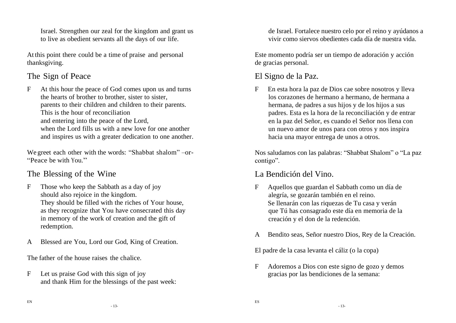Israel. Strengthen our zeal for the kingdom and grant us to live as obedient servants all the days of our life.

At this point there could be a time of praise and personal thanksgiving.

## The Sign of Peace

F At this hour the peace of God comes upon us and turns the hearts of brother to brother, sister to sister, parents to their children and children to their parents. This is the hour of reconciliation and entering into the peace of the Lord, when the Lord fills us with a new love for one another and inspires us with a greater dedication to one another.

We greet each other with the words: "Shabbat shalom" –or-"Peace be with You"

## The Blessing of the Wine

- F Those who keep the Sabbath as a day of joy should also rejoice in the kingdom. They should be filled with the riches of Your house, as they recognize that You have consecrated this day in memory of the work of creation and the gift of redemption.
- A Blessed are You, Lord our God, King of Creation.

The father of the house raises the chalice.

F Let us praise God with this sign of joy and thank Him for the blessings of the past week: de Israel. Fortalece nuestro celo por el reino y ayúdanos a vivir como siervos obedientes cada día de nuestra vida.

Este momento podría ser un tiempo de adoración y acción de gracias personal.

## El Signo de la Paz.

F En esta hora la paz de Dios cae sobre nosotros y lleva los corazones de hermano a hermano, de hermana a hermana, de padres a sus hijos y de los hijos a sus padres. Esta es la hora de la reconciliación y de entrar en la paz del Señor, es cuando el Señor nos llena con un nuevo amor de unos para con otros y nos inspira hacia una mayor entrega de unos a otros.

Nos saludamos con las palabras: "Shabbat Shalom" o "La paz contigo".

## La Bendición del Vino.

- F Aquellos que guardan el Sabbath como un día de alegría, se gozarán también en el reino. Se llenarán con las riquezas de Tu casa y verán que Tú has consagrado este día en memoria de la creación y el don de la redención.
- A Bendito seas, Señor nuestro Dios, Rey de la Creación.

El padre de la casa levanta el cáliz (o la copa)

F Adoremos a Dios con este signo de gozo y demos gracias por las bendiciones de la semana:

- 13-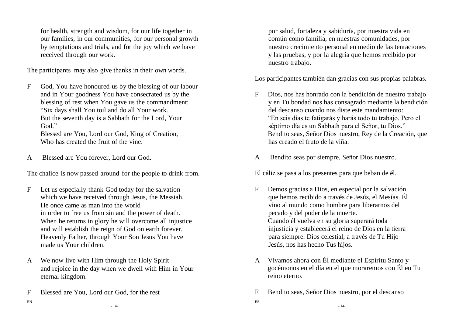for health, strength and wisdom, for our life together in our families, in our communities, for our personal growth by temptations and trials, and for the joy which we have received through our work.

The participants may also give thanks in their own words.

F God, You have honoured us by the blessing of our labour and in Your goodness You have consecrated us by the blessing of rest when You gave us the commandment: "Six days shall You toil and do all Your work. But the seventh day is a Sabbath for the Lord, Your God<sup>"</sup>

Blessed are You, Lord our God, King of Creation, Who has created the fruit of the vine.

A Blessed are You forever, Lord our God.

The chalice is now passed around for the people to drink from.

- F Let us especially thank God today for the salvation which we have received through Jesus, the Messiah. He once came as man into the world in order to free us from sin and the power of death. When he returns in glory he will overcome all injustice and will establish the reign of God on earth forever. Heavenly Father, through Your Son Jesus You have made us Your children.
- A We now live with Him through the Holy Spirit and rejoice in the day when we dwell with Him in Your eternal kingdom.
- F Blessed are You, Lord our God, for the rest

por salud, fortaleza y sabiduría, por nuestra vida en común como familia, en nuestras comunidades, por nuestro crecimiento personal en medio de las tentaciones y las pruebas, y por la alegría que hemos recibido por nuestro trabajo.

Los participantes también dan gracias con sus propias palabras.

- F Dios, nos has honrado con la bendición de nuestro trabajo y en Tu bondad nos has consagrado mediante la bendición del descanso cuando nos diste este mandamiento: "En seis días te fatigarás y harás todo tu trabajo. Pero el séptimo día es un Sabbath para el Señor, tu Dios." Bendito seas, Señor Dios nuestro, Rey de la Creación, que has creado el fruto de la viña.
- A Bendito seas por siempre, Señor Dios nuestro.

El cáliz se pasa a los presentes para que beban de él.

- F Demos gracias a Dios, en especial por la salvación que hemos recibido a través de Jesús, el Mesías. Él vino al mundo como hombre para liberarnos del pecado y del poder de la muerte. Cuando él vuelva en su gloria superará toda injusticia y establecerá el reino de Dios en la tierra para siempre. Dios celestial, a través de Tu Hijo Jesús, nos has hecho Tus hijos.
- A Vivamos ahora con Él mediante el Espíritu Santo y gocémonos en el día en el que moraremos con Él en Tu reino eterno.
- F Bendito seas, Señor Dios nuestro, por el descanso

ES

EN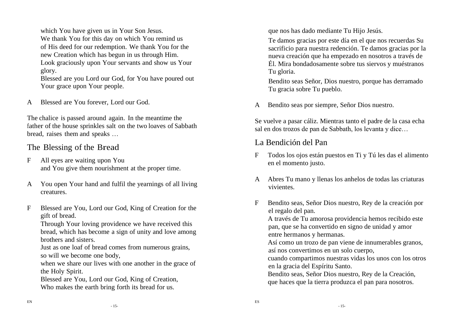which You have given us in Your Son Jesus.

We thank You for this day on which You remind us of His deed for our redemption. We thank You for the new Creation which has begun in us through Him. Look graciously upon Your servants and show us Your glory.

Blessed are you Lord our God, for You have poured out Your grace upon Your people.

A Blessed are You forever, Lord our God.

The chalice is passed around again. In the meantime the father of the house sprinkles salt on the two loaves of Sabbath bread, raises them and speaks …

#### The Blessing of the Bread

- F All eyes are waiting upon You and You give them nourishment at the proper time.
- A You open Your hand and fulfil the yearnings of all living creatures.
- F Blessed are You, Lord our God, King of Creation for the gift of bread.

Through Your loving providence we have received this bread, which has become a sign of unity and love among brothers and sisters.

Just as one loaf of bread comes from numerous grains, so will we become one body,

when we share our lives with one another in the grace of the Holy Spirit.

Blessed are You, Lord our God, King of Creation, Who makes the earth bring forth its bread for us.

que nos has dado mediante Tu Hijo Jesús.

Te damos gracias por este día en el que nos recuerdas Su sacrificio para nuestra redención. Te damos gracias por la nueva creación que ha empezado en nosotros a través de Él. Mira bondadosamente sobre tus siervos y muéstranos Tu gloria.

Bendito seas Señor, Dios nuestro, porque has derramado Tu gracia sobre Tu pueblo.

A Bendito seas por siempre, Señor Dios nuestro.

Se vuelve a pasar cáliz. Mientras tanto el padre de la casa echa sal en dos trozos de pan de Sabbath, los levanta y dice…

#### La Bendición del Pan

- F Todos los ojos están puestos en Ti y Tú les das el alimento en el momento justo.
- A Abres Tu mano y llenas los anhelos de todas las criaturas vivientes.
- F Bendito seas, Señor Dios nuestro, Rey de la creación por el regalo del pan.

A través de Tu amorosa providencia hemos recibido este pan, que se ha convertido en signo de unidad y amor entre hermanos y hermanas.

Así como un trozo de pan viene de innumerables granos, así nos convertimos en un solo cuerpo,

cuando compartimos nuestras vidas los unos con los otros en la gracia del Espíritu Santo.

Bendito seas, Señor Dios nuestro, Rey de la Creación, que haces que la tierra produzca el pan para nosotros.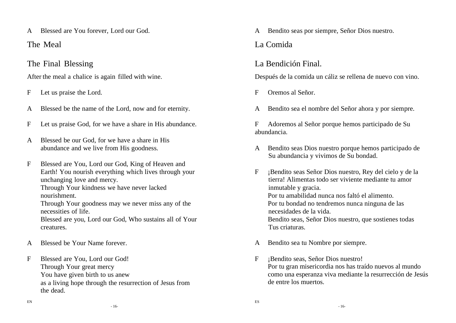A Blessed are You forever, Lord our God.

The Meal

#### The Final Blessing

After the meal a chalice is again filled with wine.

- F Let us praise the Lord.
- A Blessed be the name of the Lord, now and for eternity.
- F Let us praise God, for we have a share in His abundance.
- A Blessed be our God, for we have a share in His abundance and we live from His goodness.
- F Blessed are You, Lord our God, King of Heaven and Earth! You nourish everything which lives through your unchanging love and mercy. Through Your kindness we have never lacked nourishment. Through Your goodness may we never miss any of the necessities of life. Blessed are you, Lord our God, Who sustains all of Your creatures.
- A Blessed be Your Name forever.
- F Blessed are You, Lord our God! Through Your great mercy You have given birth to us anew as a living hope through the resurrection of Jesus from the dead.

A Bendito seas por siempre, Señor Dios nuestro.

## La Comida

#### La Bendición Final.

Después de la comida un cáliz se rellena de nuevo con vino.

- F Oremos al Señor.
- A Bendito sea el nombre del Señor ahora y por siempre.

F Adoremos al Señor porque hemos participado de Su abundancia.

- A Bendito seas Dios nuestro porque hemos participado de Su abundancia y vivimos de Su bondad.
- F ¡Bendito seas Señor Dios nuestro, Rey del cielo y de la tierra! Alimentas todo ser viviente mediante tu amor inmutable y gracia. Por tu amabilidad nunca nos faltó el alimento. Por tu bondad no tendremos nunca ninguna de las necesidades de la vida. Bendito seas, Señor Dios nuestro, que sostienes todas Tus criaturas.
- A Bendito sea tu Nombre por siempre.
- F ¡Bendito seas, Señor Dios nuestro! Por tu gran misericordia nos has traído nuevos al mundo como una esperanza viva mediante la resurrección de Jesús de entre los muertos.

- 16-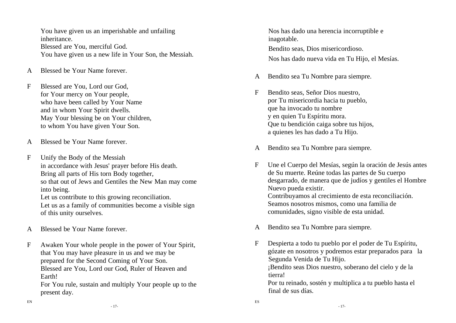You have given us an imperishable and unfailing inheritance. Blessed are You, merciful God. You have given us a new life in Your Son, the Messiah.

- A Blessed be Your Name forever.
- F Blessed are You, Lord our God, for Your mercy on Your people, who have been called by Your Name and in whom Your Spirit dwells. May Your blessing be on Your children, to whom You have given Your Son.
- A Blessed be Your Name forever.
- F Unify the Body of the Messiah in accordance with Jesus' prayer before His death. Bring all parts of His torn Body together, so that out of Jews and Gentiles the New Man may come into being.

Let us contribute to this growing reconciliation.

Let us as a family of communities become a visible sign of this unity ourselves.

- A Blessed be Your Name forever.
- F Awaken Your whole people in the power of Your Spirit, that You may have pleasure in us and we may be prepared for the Second Coming of Your Son. Blessed are You, Lord our God, Ruler of Heaven and Earth!

For You rule, sustain and multiply Your people up to the present day.

Nos has dado una herencia incorruptible e inagotable.

Bendito seas, Dios misericordioso. Nos has dado nueva vida en Tu Hijo, el Mesías.

- A Bendito sea Tu Nombre para siempre.
- F Bendito seas, Señor Dios nuestro, por Tu misericordia hacia tu pueblo, que ha invocado tu nombre y en quien Tu Espíritu mora. Que tu bendición caiga sobre tus hijos, a quienes les has dado a Tu Hijo.
- A Bendito sea Tu Nombre para siempre.
- F Une el Cuerpo del Mesías, según la oración de Jesús antes de Su muerte. Reúne todas las partes de Su cuerpo desgarrado, de manera que de judíos y gentiles el Hombre Nuevo pueda existir. Contribuyamos al crecimiento de esta reconciliación. Seamos nosotros mismos, como una familia de comunidades, signo visible de esta unidad.
- A Bendito sea Tu Nombre para siempre.

ES

F Despierta a todo tu pueblo por el poder de Tu Espíritu, gózate en nosotros y podremos estar preparados para la Segunda Venida de Tu Hijo. ¡Bendito seas Dios nuestro, soberano del cielo y de la tierra!

Por tu reinado, sostén y multiplica a tu pueblo hasta el final de sus días.

- 17-